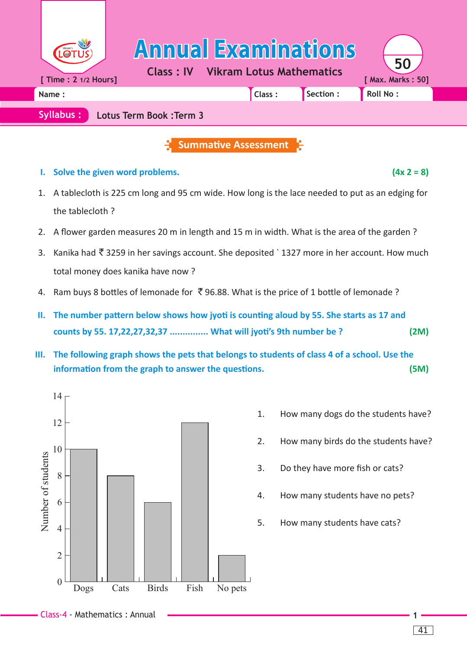| [ Time : 2 1/2 Hours] | Class: IV                | <b>Annual Examinations</b><br><b>Vikram Lotus Mathematics</b> |           | 50<br>[ Max. Marks: 50] |
|-----------------------|--------------------------|---------------------------------------------------------------|-----------|-------------------------|
| Name:                 |                          | Class:                                                        | Section : | Roll No:                |
| Syllabus:             | Lotus Term Book : Term 3 |                                                               |           |                         |

**Summative Assessment**

- **I. Solve the given word problems. (4x 2 = 8)**
- 1. A tablecloth is 225 cm long and 95 cm wide. How long is the lace needed to put as an edging for the tablecloth ?
- 2. A flower garden measures 20 m in length and 15 m in width. What is the area of the garden?
- 3. Kanika had  $\bar{\tau}$  3259 in her savings account. She deposited ` 1327 more in her account. How much total money does kanika have now ?
- 4. Ram buys 8 bottles of lemonade for  $\bar{\tau}$  96.88. What is the price of 1 bottle of lemonade ?
- **II. The number pattern below shows how jyoti is counting aloud by 55. She starts as 17 and counts by 55. 17,22,27,32,37 ............... What will jyoti's 9th number be ? (2M)**
- **III. The following graph shows the pets that belongs to students of class 4 of a school. Use the information from the graph to answer the questions. (5M)**



- 1. How many dogs do the students have?
- 2. How many birds do the students have?
- 3. Do they have more fish or cats?
- 4. How many students have no pets?
- 5. How many students have cats?

41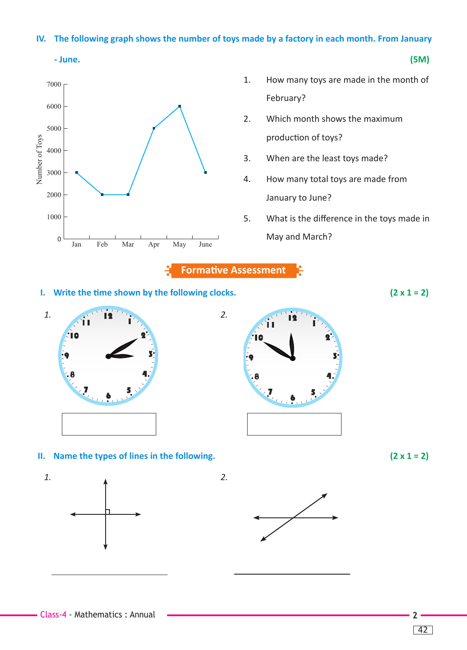### **IV. The following graph shows the number of toys made by a factory in each month. From January**



1. How many toys are made in the month of February?

- 2. Which month shows the maximum production of toys?
- 3. When are the least toys made?
- 4. How many total toys are made from January to June?
- 5. What is the difference in the toys made in May and March?



**1.** Write the time shown by the following clocks.  $(2 \times 1 = 2)$ 



- . 8
- **II. Name the types of lines in the following. (2 x 1 = 2)**

*1. 2.*



Class-4 - Mathematics : Annual **2**

 $42$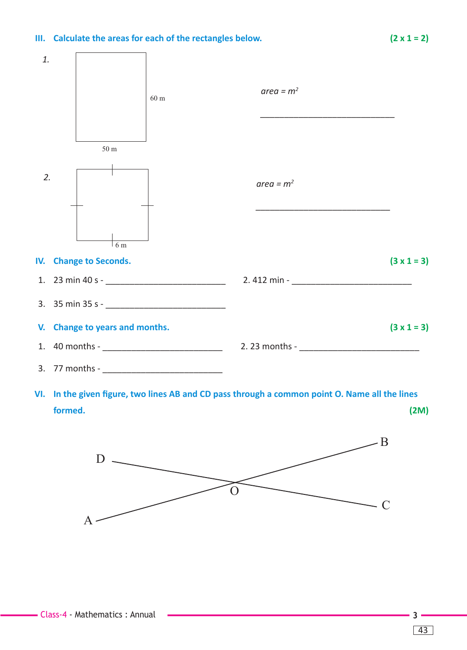### **III. Calculate the areas for each of the rectangles below. (2 x 1 = 2)**



VI. In the given figure, two lines AB and CD pass through a common point O. Name all the lines **formed. (2M)**



43